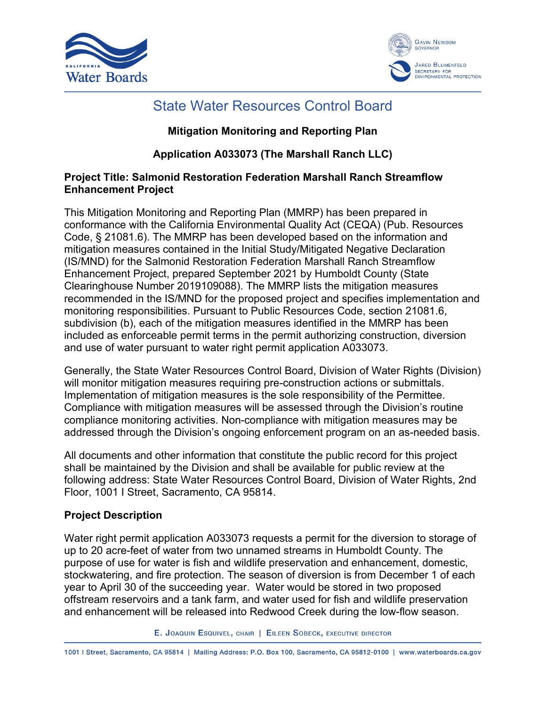



### State Water Resources Control Board

#### **Mitigation Monitoring and Reporting Plan**

#### **Application A033073 (The Marshall Ranch LLC)**

#### **Project Title: Salmonid Restoration Federation Marshall Ranch Streamflow Enhancement Project**

This Mitigation Monitoring and Reporting Plan (MMRP) has been prepared in conformance with the California Environmental Quality Act (CEQA) (Pub. Resources Code, § 21081.6). The MMRP has been developed based on the information and mitigation measures contained in the Initial Study/Mitigated Negative Declaration (IS/MND) for the Salmonid Restoration Federation Marshall Ranch Streamflow Enhancement Project, prepared September 2021 by Humboldt County (State Clearinghouse Number 2019109088). The MMRP lists the mitigation measures recommended in the IS/MND for the proposed project and specifies implementation and monitoring responsibilities. Pursuant to Public Resources Code, section 21081.6, subdivision (b), each of the mitigation measures identified in the MMRP has been included as enforceable permit terms in the permit authorizing construction, diversion and use of water pursuant to water right permit application A033073.

Generally, the State Water Resources Control Board, Division of Water Rights (Division) will monitor mitigation measures requiring pre-construction actions or submittals. Implementation of mitigation measures is the sole responsibility of the Permittee. Compliance with mitigation measures will be assessed through the Division's routine compliance monitoring activities. Non-compliance with mitigation measures may be addressed through the Division's ongoing enforcement program on an as-needed basis.

All documents and other information that constitute the public record for this project shall be maintained by the Division and shall be available for public review at the following address: State Water Resources Control Board, Division of Water Rights, 2nd Floor, 1001 I Street, Sacramento, CA 95814.

#### **Project Description**

Water right permit application A033073 requests a permit for the diversion to storage of up to 20 acre-feet of water from two unnamed streams in Humboldt County. The purpose of use for water is fish and wildlife preservation and enhancement, domestic, stockwatering, and fire protection. The season of diversion is from December 1 of each year to April 30 of the succeeding year. Water would be stored in two proposed offstream reservoirs and a tank farm, and water used for fish and wildlife preservation and enhancement will be released into Redwood Creek during the low-flow season.

E. JOAQUIN ESQUIVEL, CHAIR | EILEEN SOBECK, EXECUTIVE DIRECTOR

1001 | Street, Sacramento, CA 95814 | Mailing Address: P.O. Box 100, Sacramento, CA 95812-0100 | www.waterboards.ca.gov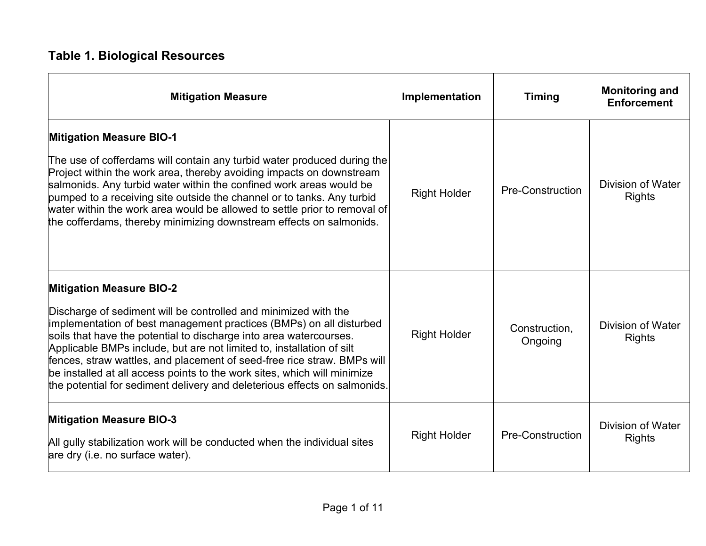# **Table 1. Biological Resources**

| <b>Mitigation Measure</b>                                                                                                                                                                                                                                                                                                                                                                                                                                                                                                                                    | Implementation      | <b>Timing</b>            | <b>Monitoring and</b><br><b>Enforcement</b> |
|--------------------------------------------------------------------------------------------------------------------------------------------------------------------------------------------------------------------------------------------------------------------------------------------------------------------------------------------------------------------------------------------------------------------------------------------------------------------------------------------------------------------------------------------------------------|---------------------|--------------------------|---------------------------------------------|
| <b>Mitigation Measure BIO-1</b><br>The use of cofferdams will contain any turbid water produced during the<br>Project within the work area, thereby avoiding impacts on downstream<br>salmonids. Any turbid water within the confined work areas would be<br>pumped to a receiving site outside the channel or to tanks. Any turbid<br>water within the work area would be allowed to settle prior to removal of<br>the cofferdams, thereby minimizing downstream effects on salmonids.                                                                      | <b>Right Holder</b> | <b>Pre-Construction</b>  | Division of Water<br><b>Rights</b>          |
| <b>Mitigation Measure BIO-2</b><br>Discharge of sediment will be controlled and minimized with the<br>implementation of best management practices (BMPs) on all disturbed<br>soils that have the potential to discharge into area watercourses.<br>Applicable BMPs include, but are not limited to, installation of silt<br>fences, straw wattles, and placement of seed-free rice straw. BMPs will<br>be installed at all access points to the work sites, which will minimize<br>the potential for sediment delivery and deleterious effects on salmonids. | <b>Right Holder</b> | Construction,<br>Ongoing | <b>Division of Water</b><br><b>Rights</b>   |
| <b>Mitigation Measure BIO-3</b><br>All gully stabilization work will be conducted when the individual sites<br>are dry (i.e. no surface water).                                                                                                                                                                                                                                                                                                                                                                                                              | <b>Right Holder</b> | <b>Pre-Construction</b>  | <b>Division of Water</b><br><b>Rights</b>   |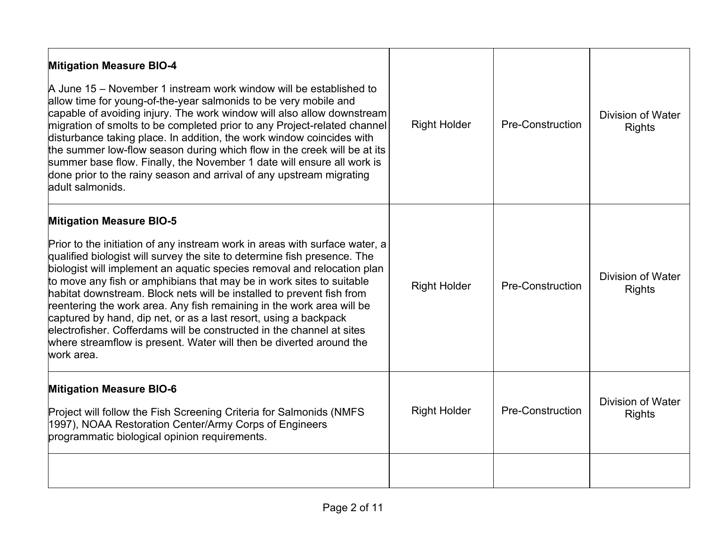| <b>Right Holder</b> | <b>Pre-Construction</b>                                                                                                                                                                                                                                                                                       | <b>Division of Water</b><br><b>Rights</b> |
|---------------------|---------------------------------------------------------------------------------------------------------------------------------------------------------------------------------------------------------------------------------------------------------------------------------------------------------------|-------------------------------------------|
| <b>Right Holder</b> | <b>Pre-Construction</b>                                                                                                                                                                                                                                                                                       | <b>Division of Water</b><br><b>Rights</b> |
| <b>Right Holder</b> | <b>Pre-Construction</b>                                                                                                                                                                                                                                                                                       | <b>Division of Water</b><br><b>Rights</b> |
|                     | capable of avoiding injury. The work window will also allow downstream<br>migration of smolts to be completed prior to any Project-related channel<br>the summer low-flow season during which flow in the creek will be at its<br>Prior to the initiation of any instream work in areas with surface water, a |                                           |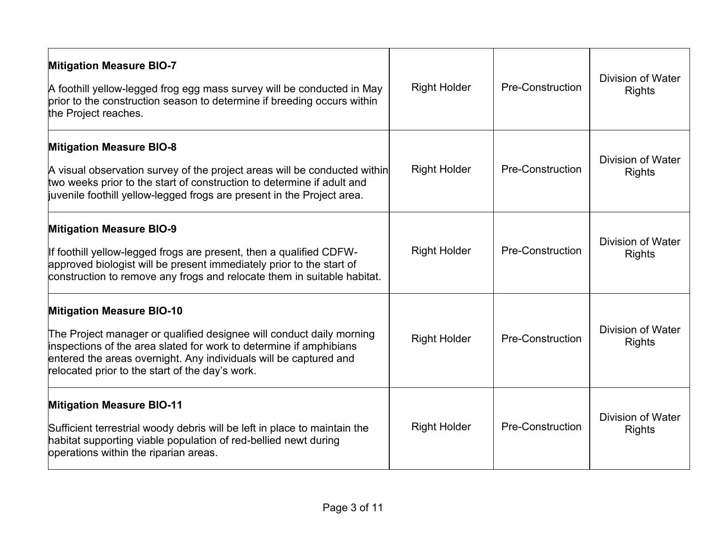| <b>Mitigation Measure BIO-7</b><br>A foothill yellow-legged frog egg mass survey will be conducted in May<br>prior to the construction season to determine if breeding occurs within<br>the Project reaches.                                                                                           | <b>Right Holder</b> | <b>Pre-Construction</b> | <b>Division of Water</b><br><b>Rights</b> |
|--------------------------------------------------------------------------------------------------------------------------------------------------------------------------------------------------------------------------------------------------------------------------------------------------------|---------------------|-------------------------|-------------------------------------------|
| <b>Mitigation Measure BIO-8</b><br>A visual observation survey of the project areas will be conducted within<br>two weeks prior to the start of construction to determine if adult and<br>juvenile foothill yellow-legged frogs are present in the Project area.                                       | <b>Right Holder</b> | <b>Pre-Construction</b> | Division of Water<br><b>Rights</b>        |
| <b>Mitigation Measure BIO-9</b><br>If foothill yellow-legged frogs are present, then a qualified CDFW-<br>approved biologist will be present immediately prior to the start of<br>construction to remove any frogs and relocate them in suitable habitat.                                              | <b>Right Holder</b> | <b>Pre-Construction</b> | Division of Water<br><b>Rights</b>        |
| <b>Mitigation Measure BIO-10</b><br>The Project manager or qualified designee will conduct daily morning<br>inspections of the area slated for work to determine if amphibians<br>entered the areas overnight. Any individuals will be captured and<br>relocated prior to the start of the day's work. | <b>Right Holder</b> | <b>Pre-Construction</b> | Division of Water<br><b>Rights</b>        |
| <b>Mitigation Measure BIO-11</b><br>Sufficient terrestrial woody debris will be left in place to maintain the<br>habitat supporting viable population of red-bellied newt during<br>operations within the riparian areas.                                                                              | <b>Right Holder</b> | <b>Pre-Construction</b> | Division of Water<br><b>Rights</b>        |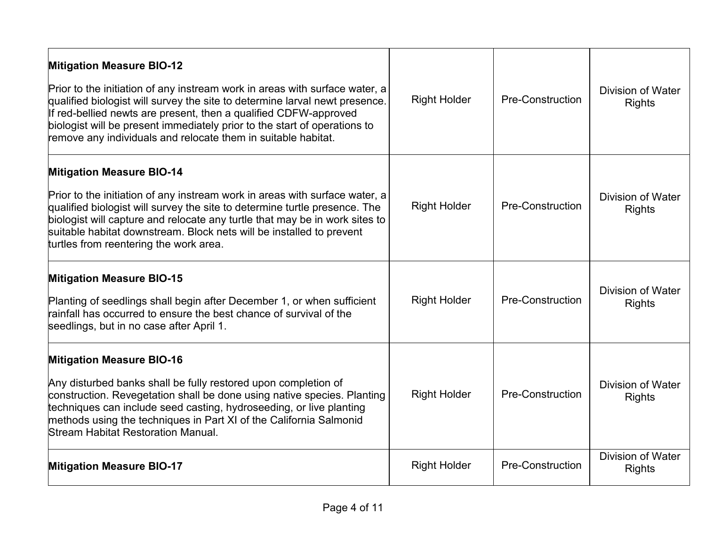| <b>Mitigation Measure BIO-12</b><br>Prior to the initiation of any instream work in areas with surface water, a<br>qualified biologist will survey the site to determine larval newt presence.<br>If red-bellied newts are present, then a qualified CDFW-approved<br>biologist will be present immediately prior to the start of operations to<br>remove any individuals and relocate them in suitable habitat. | <b>Right Holder</b> | <b>Pre-Construction</b> | Division of Water<br><b>Rights</b> |
|------------------------------------------------------------------------------------------------------------------------------------------------------------------------------------------------------------------------------------------------------------------------------------------------------------------------------------------------------------------------------------------------------------------|---------------------|-------------------------|------------------------------------|
| <b>Mitigation Measure BIO-14</b><br>Prior to the initiation of any instream work in areas with surface water, a<br>qualified biologist will survey the site to determine turtle presence. The<br>biologist will capture and relocate any turtle that may be in work sites to<br>suitable habitat downstream. Block nets will be installed to prevent<br>turtles from reentering the work area.                   | <b>Right Holder</b> | Pre-Construction        | Division of Water<br><b>Rights</b> |
| <b>Mitigation Measure BIO-15</b><br>Planting of seedlings shall begin after December 1, or when sufficient<br>rainfall has occurred to ensure the best chance of survival of the<br>seedlings, but in no case after April 1.                                                                                                                                                                                     | <b>Right Holder</b> | <b>Pre-Construction</b> | Division of Water<br><b>Rights</b> |
| <b>Mitigation Measure BIO-16</b><br>Any disturbed banks shall be fully restored upon completion of<br>construction. Revegetation shall be done using native species. Planting<br>techniques can include seed casting, hydroseeding, or live planting<br>methods using the techniques in Part XI of the California Salmonid<br>Stream Habitat Restoration Manual.                                                 | <b>Right Holder</b> | <b>Pre-Construction</b> | Division of Water<br><b>Rights</b> |
| <b>Mitigation Measure BIO-17</b>                                                                                                                                                                                                                                                                                                                                                                                 | <b>Right Holder</b> | <b>Pre-Construction</b> | Division of Water<br><b>Rights</b> |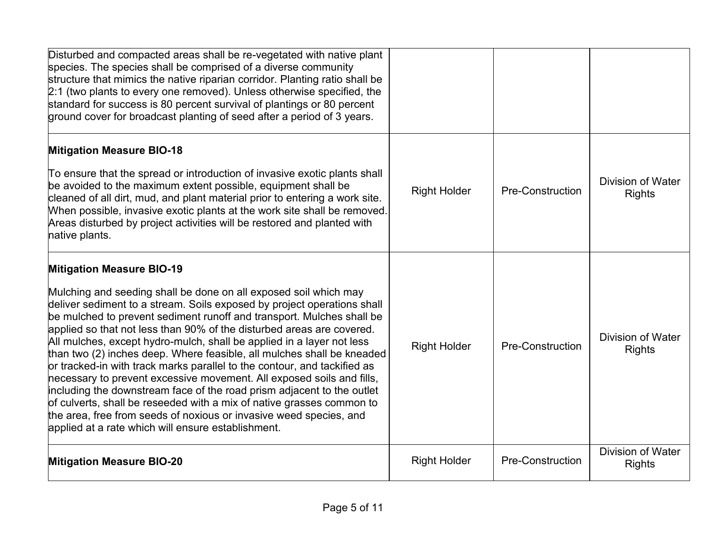| Disturbed and compacted areas shall be re-vegetated with native plant<br>species. The species shall be comprised of a diverse community<br>structure that mimics the native riparian corridor. Planting ratio shall be<br>2:1 (two plants to every one removed). Unless otherwise specified, the<br>standard for success is 80 percent survival of plantings or 80 percent<br>ground cover for broadcast planting of seed after a period of 3 years.                                                                                                                                                                                                                                                                                                                                                                                                                                                                     |                     |                         |                                           |
|--------------------------------------------------------------------------------------------------------------------------------------------------------------------------------------------------------------------------------------------------------------------------------------------------------------------------------------------------------------------------------------------------------------------------------------------------------------------------------------------------------------------------------------------------------------------------------------------------------------------------------------------------------------------------------------------------------------------------------------------------------------------------------------------------------------------------------------------------------------------------------------------------------------------------|---------------------|-------------------------|-------------------------------------------|
| <b>Mitigation Measure BIO-18</b><br>To ensure that the spread or introduction of invasive exotic plants shall<br>be avoided to the maximum extent possible, equipment shall be<br>cleaned of all dirt, mud, and plant material prior to entering a work site.<br>When possible, invasive exotic plants at the work site shall be removed.<br>Areas disturbed by project activities will be restored and planted with<br>native plants.                                                                                                                                                                                                                                                                                                                                                                                                                                                                                   | <b>Right Holder</b> | <b>Pre-Construction</b> | <b>Division of Water</b><br><b>Rights</b> |
| <b>Mitigation Measure BIO-19</b><br>Mulching and seeding shall be done on all exposed soil which may<br>deliver sediment to a stream. Soils exposed by project operations shall<br>be mulched to prevent sediment runoff and transport. Mulches shall be<br>applied so that not less than 90% of the disturbed areas are covered.<br>All mulches, except hydro-mulch, shall be applied in a layer not less<br>than two (2) inches deep. Where feasible, all mulches shall be kneaded<br>or tracked-in with track marks parallel to the contour, and tackified as<br>necessary to prevent excessive movement. All exposed soils and fills,<br>including the downstream face of the road prism adjacent to the outlet<br>of culverts, shall be reseeded with a mix of native grasses common to<br>the area, free from seeds of noxious or invasive weed species, and<br>applied at a rate which will ensure establishment. | <b>Right Holder</b> | <b>Pre-Construction</b> | <b>Division of Water</b><br><b>Rights</b> |
| <b>Mitigation Measure BIO-20</b>                                                                                                                                                                                                                                                                                                                                                                                                                                                                                                                                                                                                                                                                                                                                                                                                                                                                                         | <b>Right Holder</b> | <b>Pre-Construction</b> | <b>Division of Water</b><br><b>Rights</b> |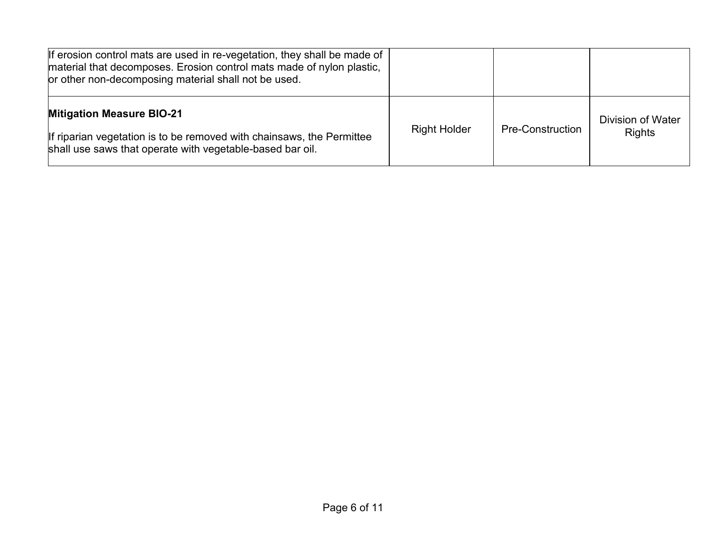| If erosion control mats are used in re-vegetation, they shall be made of<br>material that decomposes. Erosion control mats made of nylon plastic,<br>or other non-decomposing material shall not be used. |                     |                         |                                           |
|-----------------------------------------------------------------------------------------------------------------------------------------------------------------------------------------------------------|---------------------|-------------------------|-------------------------------------------|
| <b>Mitigation Measure BIO-21</b><br>If riparian vegetation is to be removed with chainsaws, the Permittee<br>shall use saws that operate with vegetable-based bar oil.                                    | <b>Right Holder</b> | <b>Pre-Construction</b> | <b>Division of Water</b><br><b>Rights</b> |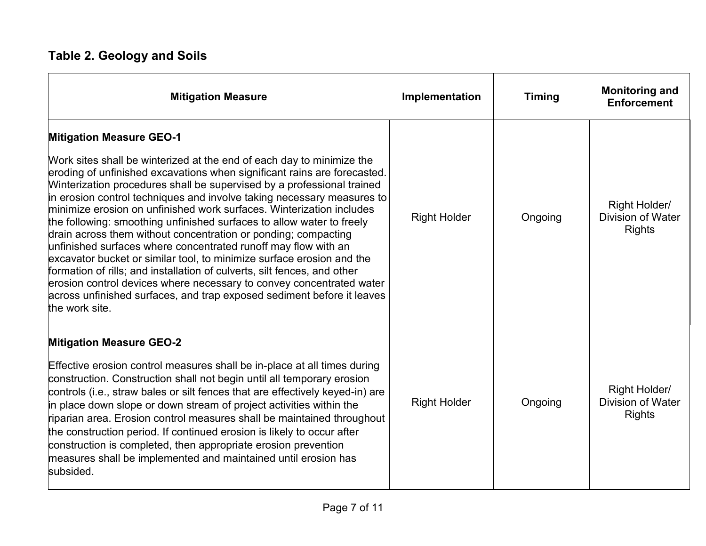# **Table 2. Geology and Soils**

| <b>Mitigation Measure</b>                                                                                                                                                                                                                                                                                                                                                                                                                                                                                                                                                                                                                                                                                                                                                                                                                                                                                                                              | Implementation      | <b>Timing</b> | <b>Monitoring and</b><br><b>Enforcement</b>                |
|--------------------------------------------------------------------------------------------------------------------------------------------------------------------------------------------------------------------------------------------------------------------------------------------------------------------------------------------------------------------------------------------------------------------------------------------------------------------------------------------------------------------------------------------------------------------------------------------------------------------------------------------------------------------------------------------------------------------------------------------------------------------------------------------------------------------------------------------------------------------------------------------------------------------------------------------------------|---------------------|---------------|------------------------------------------------------------|
| <b>Mitigation Measure GEO-1</b><br>Work sites shall be winterized at the end of each day to minimize the<br>eroding of unfinished excavations when significant rains are forecasted.<br>Winterization procedures shall be supervised by a professional trained<br>in erosion control techniques and involve taking necessary measures to<br>minimize erosion on unfinished work surfaces. Winterization includes<br>the following: smoothing unfinished surfaces to allow water to freely<br>drain across them without concentration or ponding; compacting<br>unfinished surfaces where concentrated runoff may flow with an<br>excavator bucket or similar tool, to minimize surface erosion and the<br>formation of rills; and installation of culverts, silt fences, and other<br>erosion control devices where necessary to convey concentrated water<br>across unfinished surfaces, and trap exposed sediment before it leaves<br>the work site. | <b>Right Holder</b> | Ongoing       | Right Holder/<br><b>Division of Water</b><br><b>Rights</b> |
| <b>Mitigation Measure GEO-2</b><br>Effective erosion control measures shall be in-place at all times during<br>construction. Construction shall not begin until all temporary erosion<br>controls (i.e., straw bales or silt fences that are effectively keyed-in) are<br>in place down slope or down stream of project activities within the<br>riparian area. Erosion control measures shall be maintained throughout<br>the construction period. If continued erosion is likely to occur after<br>construction is completed, then appropriate erosion prevention<br>measures shall be implemented and maintained until erosion has<br>subsided.                                                                                                                                                                                                                                                                                                     | <b>Right Holder</b> | Ongoing       | Right Holder/<br><b>Division of Water</b><br><b>Rights</b> |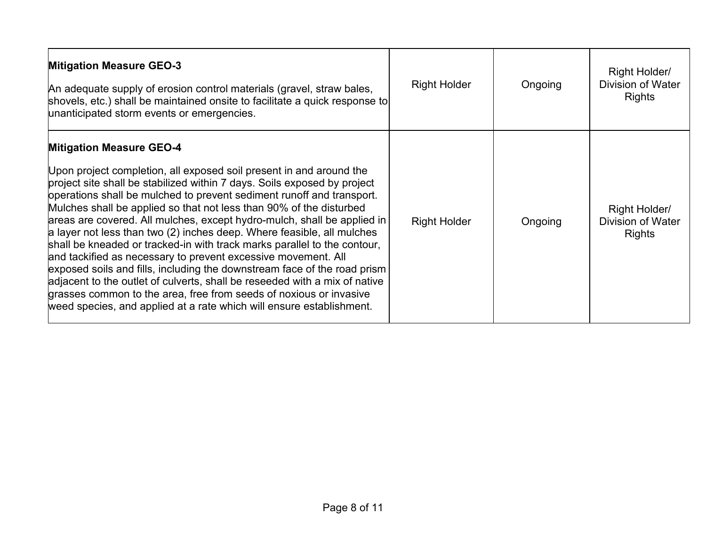| <b>Mitigation Measure GEO-3</b><br>An adequate supply of erosion control materials (gravel, straw bales,<br>shovels, etc.) shall be maintained onsite to facilitate a quick response to<br>unanticipated storm events or emergencies.                                                                                                                                                                                                                                                                                                                                                                                                                                                                                                                                                                                                                                                                                                        | <b>Right Holder</b> | Ongoing | Right Holder/<br><b>Division of Water</b><br><b>Rights</b> |
|----------------------------------------------------------------------------------------------------------------------------------------------------------------------------------------------------------------------------------------------------------------------------------------------------------------------------------------------------------------------------------------------------------------------------------------------------------------------------------------------------------------------------------------------------------------------------------------------------------------------------------------------------------------------------------------------------------------------------------------------------------------------------------------------------------------------------------------------------------------------------------------------------------------------------------------------|---------------------|---------|------------------------------------------------------------|
| <b>Mitigation Measure GEO-4</b><br>Upon project completion, all exposed soil present in and around the<br>project site shall be stabilized within 7 days. Soils exposed by project<br>operations shall be mulched to prevent sediment runoff and transport.<br>Mulches shall be applied so that not less than 90% of the disturbed<br>areas are covered. All mulches, except hydro-mulch, shall be applied in<br>a layer not less than two (2) inches deep. Where feasible, all mulches<br>shall be kneaded or tracked-in with track marks parallel to the contour,<br>and tackified as necessary to prevent excessive movement. All<br>exposed soils and fills, including the downstream face of the road prism<br>adjacent to the outlet of culverts, shall be reseeded with a mix of native<br>grasses common to the area, free from seeds of noxious or invasive<br>weed species, and applied at a rate which will ensure establishment. | <b>Right Holder</b> | Ongoing | Right Holder/<br><b>Division of Water</b><br><b>Rights</b> |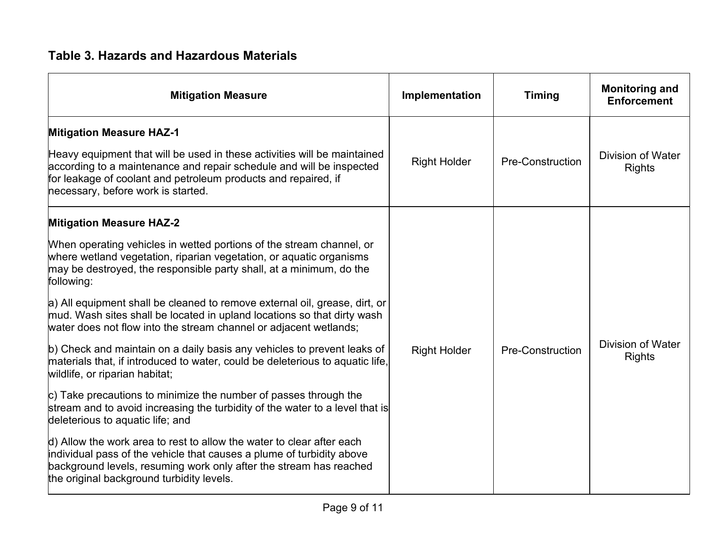### **Table 3. Hazards and Hazardous Materials**

| <b>Mitigation Measure</b>                                                                                                                                                                                                                                                                                                                                                                                                                                                                                                                                                                                                                                                                                                                                                                                                                                                                                                                                                                                                                                                                                                                                               | Implementation      | <b>Timing</b>           | <b>Monitoring and</b><br><b>Enforcement</b> |
|-------------------------------------------------------------------------------------------------------------------------------------------------------------------------------------------------------------------------------------------------------------------------------------------------------------------------------------------------------------------------------------------------------------------------------------------------------------------------------------------------------------------------------------------------------------------------------------------------------------------------------------------------------------------------------------------------------------------------------------------------------------------------------------------------------------------------------------------------------------------------------------------------------------------------------------------------------------------------------------------------------------------------------------------------------------------------------------------------------------------------------------------------------------------------|---------------------|-------------------------|---------------------------------------------|
| <b>Mitigation Measure HAZ-1</b><br>Heavy equipment that will be used in these activities will be maintained<br>according to a maintenance and repair schedule and will be inspected<br>for leakage of coolant and petroleum products and repaired, if<br>necessary, before work is started.                                                                                                                                                                                                                                                                                                                                                                                                                                                                                                                                                                                                                                                                                                                                                                                                                                                                             | <b>Right Holder</b> | <b>Pre-Construction</b> | <b>Division of Water</b><br><b>Rights</b>   |
| <b>Mitigation Measure HAZ-2</b><br>When operating vehicles in wetted portions of the stream channel, or<br>where wetland vegetation, riparian vegetation, or aquatic organisms<br>may be destroyed, the responsible party shall, at a minimum, do the<br>following:<br>a) All equipment shall be cleaned to remove external oil, grease, dirt, or<br>mud. Wash sites shall be located in upland locations so that dirty wash<br>water does not flow into the stream channel or adjacent wetlands;<br>b) Check and maintain on a daily basis any vehicles to prevent leaks of<br>materials that, if introduced to water, could be deleterious to aquatic life,<br>wildlife, or riparian habitat;<br>$ c $ Take precautions to minimize the number of passes through the<br>stream and to avoid increasing the turbidity of the water to a level that is<br>deleterious to aquatic life; and<br>$\vert$ d) Allow the work area to rest to allow the water to clear after each<br>individual pass of the vehicle that causes a plume of turbidity above<br>background levels, resuming work only after the stream has reached<br>the original background turbidity levels. | <b>Right Holder</b> | <b>Pre-Construction</b> | <b>Division of Water</b><br><b>Rights</b>   |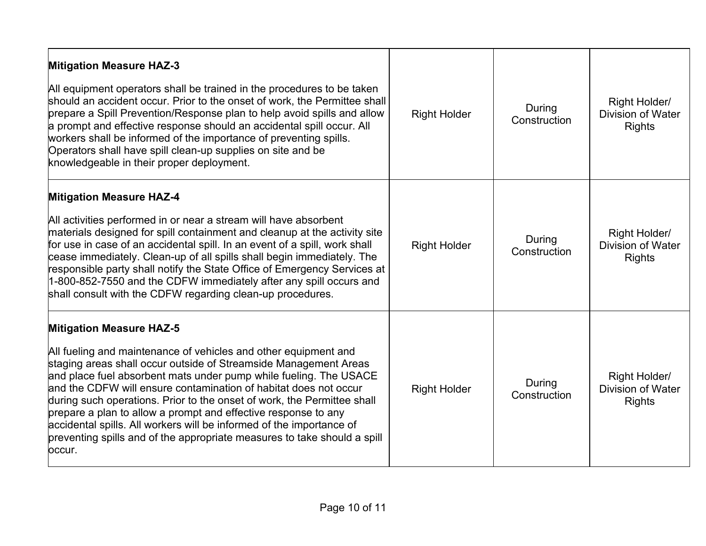| <b>Mitigation Measure HAZ-3</b><br>All equipment operators shall be trained in the procedures to be taken<br>should an accident occur. Prior to the onset of work, the Permittee shall<br>prepare a Spill Prevention/Response plan to help avoid spills and allow<br>a prompt and effective response should an accidental spill occur. All<br>workers shall be informed of the importance of preventing spills.<br>Operators shall have spill clean-up supplies on site and be<br>knowledgeable in their proper deployment.                                                                                                | <b>Right Holder</b> | During<br>Construction | Right Holder/<br><b>Division of Water</b><br><b>Rights</b> |
|----------------------------------------------------------------------------------------------------------------------------------------------------------------------------------------------------------------------------------------------------------------------------------------------------------------------------------------------------------------------------------------------------------------------------------------------------------------------------------------------------------------------------------------------------------------------------------------------------------------------------|---------------------|------------------------|------------------------------------------------------------|
| <b>Mitigation Measure HAZ-4</b><br>All activities performed in or near a stream will have absorbent<br>materials designed for spill containment and cleanup at the activity site<br>for use in case of an accidental spill. In an event of a spill, work shall<br>cease immediately. Clean-up of all spills shall begin immediately. The<br>responsible party shall notify the State Office of Emergency Services at<br>1-800-852-7550 and the CDFW immediately after any spill occurs and<br>shall consult with the CDFW regarding clean-up procedures.                                                                   | <b>Right Holder</b> | During<br>Construction | Right Holder/<br><b>Division of Water</b><br><b>Rights</b> |
| <b>Mitigation Measure HAZ-5</b><br>All fueling and maintenance of vehicles and other equipment and<br>staging areas shall occur outside of Streamside Management Areas<br>and place fuel absorbent mats under pump while fueling. The USACE<br>and the CDFW will ensure contamination of habitat does not occur<br>during such operations. Prior to the onset of work, the Permittee shall<br>prepare a plan to allow a prompt and effective response to any<br>accidental spills. All workers will be informed of the importance of<br>preventing spills and of the appropriate measures to take should a spill<br>occur. | <b>Right Holder</b> | During<br>Construction | Right Holder/<br><b>Division of Water</b><br><b>Rights</b> |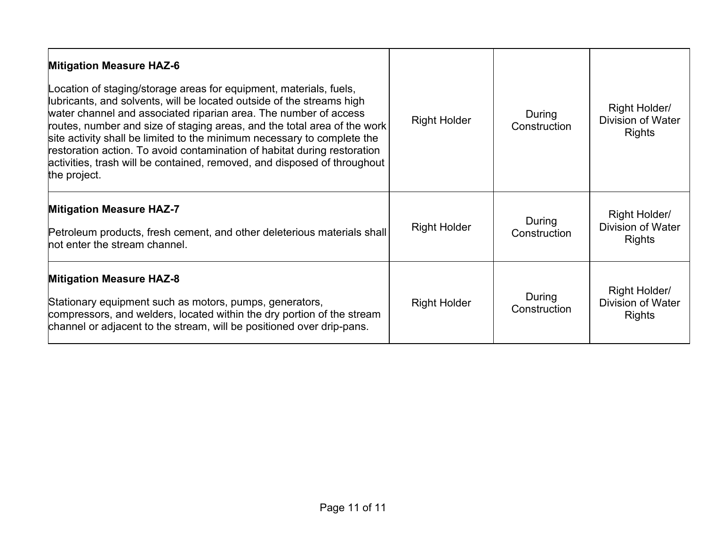| <b>Mitigation Measure HAZ-6</b><br>Location of staging/storage areas for equipment, materials, fuels,<br>ubricants, and solvents, will be located outside of the streams high<br>water channel and associated riparian area. The number of access<br>routes, number and size of staging areas, and the total area of the work<br>site activity shall be limited to the minimum necessary to complete the<br>restoration action. To avoid contamination of habitat during restoration<br>activities, trash will be contained, removed, and disposed of throughout<br>the project. | <b>Right Holder</b> | During<br>Construction | Right Holder/<br><b>Division of Water</b><br><b>Rights</b> |
|----------------------------------------------------------------------------------------------------------------------------------------------------------------------------------------------------------------------------------------------------------------------------------------------------------------------------------------------------------------------------------------------------------------------------------------------------------------------------------------------------------------------------------------------------------------------------------|---------------------|------------------------|------------------------------------------------------------|
| <b>Mitigation Measure HAZ-7</b><br>Petroleum products, fresh cement, and other deleterious materials shall<br>not enter the stream channel.                                                                                                                                                                                                                                                                                                                                                                                                                                      | <b>Right Holder</b> | During<br>Construction | Right Holder/<br><b>Division of Water</b><br><b>Rights</b> |
| <b>Mitigation Measure HAZ-8</b><br>Stationary equipment such as motors, pumps, generators,<br>compressors, and welders, located within the dry portion of the stream<br>channel or adjacent to the stream, will be positioned over drip-pans.                                                                                                                                                                                                                                                                                                                                    | <b>Right Holder</b> | During<br>Construction | Right Holder/<br><b>Division of Water</b><br><b>Rights</b> |